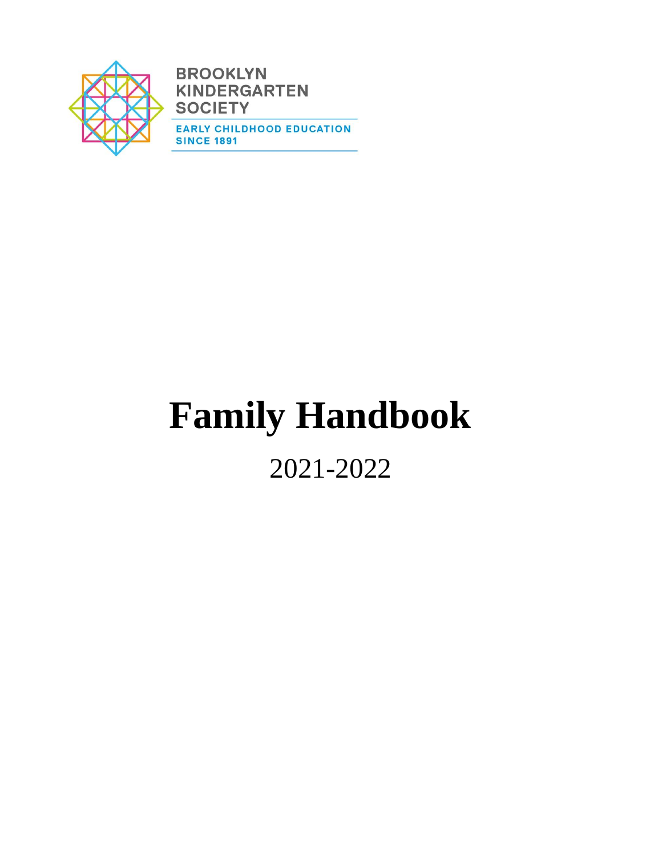

**BROOKLYN KINDERGARTEN SOCIETY EARLY CHILDHOOD EDUCATION SINCE 1891** 

# **Family Handbook**

2021-2022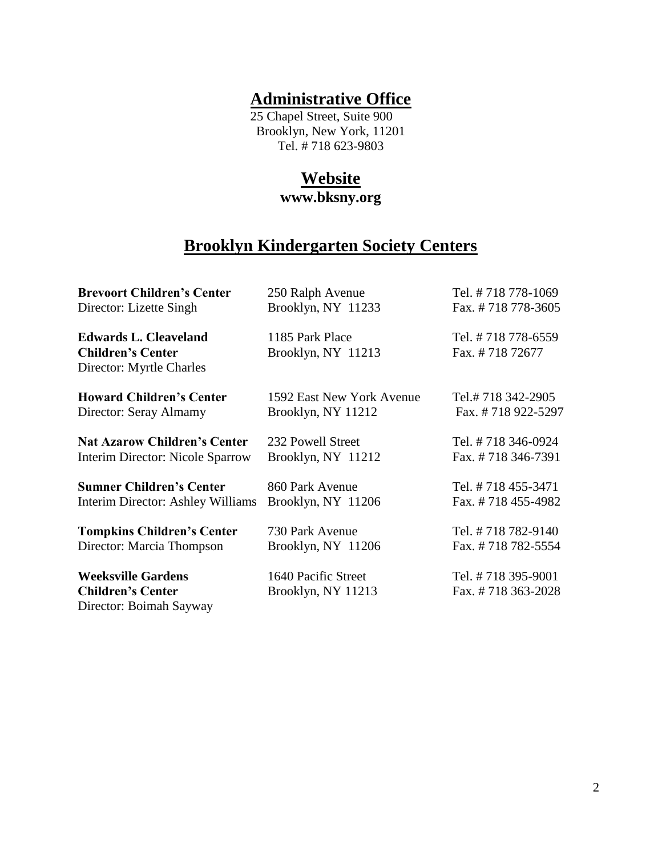## **Administrative Office**

 25 Chapel Street, Suite 900 Brooklyn, New York, 11201 Tel. # 718 623-9803

# **Website**

**www.bksny.org**

## **Brooklyn Kindergarten Society Centers**

| <b>Brevoort Children's Center</b>   | 250 Ralph Avenue          | Tel. #718 778-1069 |
|-------------------------------------|---------------------------|--------------------|
| Director: Lizette Singh             | Brooklyn, NY 11233        | Fax. #718778-3605  |
| <b>Edwards L. Cleaveland</b>        | 1185 Park Place           | Tel. #718 778-6559 |
| <b>Children's Center</b>            | Brooklyn, NY 11213        | Fax. #71872677     |
| Director: Myrtle Charles            |                           |                    |
| <b>Howard Children's Center</b>     | 1592 East New York Avenue | Tel.#718 342-2905  |
| Director: Seray Almamy              | Brooklyn, NY 11212        | Fax. #718 922-5297 |
| <b>Nat Azarow Children's Center</b> | 232 Powell Street         | Tel. #718 346-0924 |
| Interim Director: Nicole Sparrow    | Brooklyn, NY 11212        | Fax. #718 346-7391 |
| <b>Sumner Children's Center</b>     | 860 Park Avenue           | Tel. #718 455-3471 |
| Interim Director: Ashley Williams   | Brooklyn, NY 11206        | Fax. #718 455-4982 |
| <b>Tompkins Children's Center</b>   | 730 Park Avenue           | Tel. #718 782-9140 |
| Director: Marcia Thompson           | Brooklyn, NY 11206        | Fax. #718 782-5554 |
| <b>Weeksville Gardens</b>           | 1640 Pacific Street       | Tel. #718 395-9001 |
| <b>Children's Center</b>            | Brooklyn, NY 11213        | Fax. #718 363-2028 |
| Director: Boimah Sayway             |                           |                    |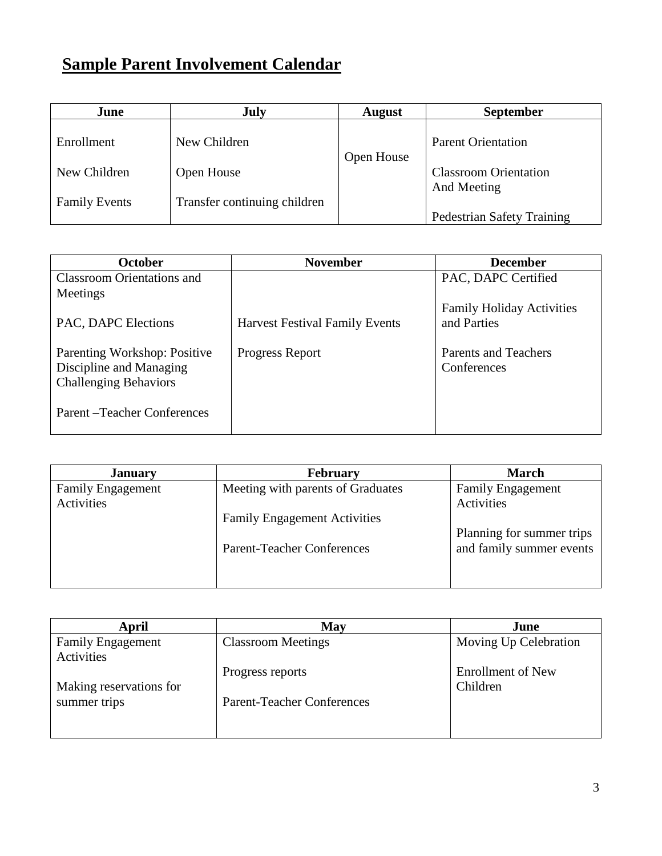# **Sample Parent Involvement Calendar**

| June                 | <b>July</b>                  | <b>August</b> | <b>September</b>                          |
|----------------------|------------------------------|---------------|-------------------------------------------|
| Enrollment           | New Children                 | Open House    | <b>Parent Orientation</b>                 |
| New Children         | Open House                   |               | <b>Classroom Orientation</b>              |
| <b>Family Events</b> | Transfer continuing children |               | And Meeting<br>Pedestrian Safety Training |

| <b>October</b>                                                                          | <b>November</b>                       | <b>December</b>                                 |
|-----------------------------------------------------------------------------------------|---------------------------------------|-------------------------------------------------|
| <b>Classroom Orientations and</b>                                                       |                                       | PAC, DAPC Certified                             |
| Meetings                                                                                |                                       |                                                 |
| PAC, DAPC Elections                                                                     | <b>Harvest Festival Family Events</b> | <b>Family Holiday Activities</b><br>and Parties |
| Parenting Workshop: Positive<br>Discipline and Managing<br><b>Challenging Behaviors</b> | Progress Report                       | <b>Parents and Teachers</b><br>Conferences      |
| Parent-Teacher Conferences                                                              |                                       |                                                 |

| <b>January</b>           | <b>February</b>                     | <b>March</b>              |
|--------------------------|-------------------------------------|---------------------------|
| <b>Family Engagement</b> | Meeting with parents of Graduates   | <b>Family Engagement</b>  |
| Activities               |                                     | Activities                |
|                          | <b>Family Engagement Activities</b> |                           |
|                          |                                     | Planning for summer trips |
|                          | <b>Parent-Teacher Conferences</b>   | and family summer events  |
|                          |                                     |                           |
|                          |                                     |                           |

| April                                  | May                               | June                                 |
|----------------------------------------|-----------------------------------|--------------------------------------|
| <b>Family Engagement</b><br>Activities | <b>Classroom Meetings</b>         | Moving Up Celebration                |
| Making reservations for                | Progress reports                  | <b>Enrollment of New</b><br>Children |
| summer trips                           | <b>Parent-Teacher Conferences</b> |                                      |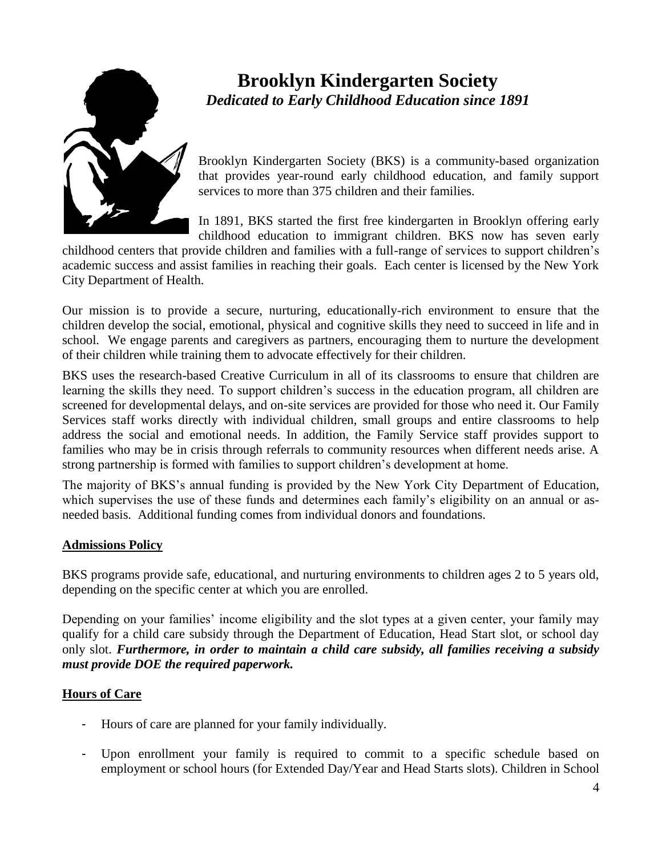

## **Brooklyn Kindergarten Society**  *Dedicated to Early Childhood Education since 1891*

Brooklyn Kindergarten Society (BKS) is a community-based organization that provides year-round early childhood education, and family support services to more than 375 children and their families.

In 1891, BKS started the first free kindergarten in Brooklyn offering early childhood education to immigrant children. BKS now has seven early

childhood centers that provide children and families with a full-range of services to support children's academic success and assist families in reaching their goals. Each center is licensed by the New York City Department of Health.

Our mission is to provide a secure, nurturing, educationally-rich environment to ensure that the children develop the social, emotional, physical and cognitive skills they need to succeed in life and in school. We engage parents and caregivers as partners, encouraging them to nurture the development of their children while training them to advocate effectively for their children.

BKS uses the research-based Creative Curriculum in all of its classrooms to ensure that children are learning the skills they need. To support children's success in the education program, all children are screened for developmental delays, and on-site services are provided for those who need it. Our Family Services staff works directly with individual children, small groups and entire classrooms to help address the social and emotional needs. In addition, the Family Service staff provides support to families who may be in crisis through referrals to community resources when different needs arise. A strong partnership is formed with families to support children's development at home.

The majority of BKS's annual funding is provided by the New York City Department of Education, which supervises the use of these funds and determines each family's eligibility on an annual or asneeded basis. Additional funding comes from individual donors and foundations.

#### **Admissions Policy**

BKS programs provide safe, educational, and nurturing environments to children ages 2 to 5 years old, depending on the specific center at which you are enrolled.

Depending on your families' income eligibility and the slot types at a given center, your family may qualify for a child care subsidy through the Department of Education, Head Start slot, or school day only slot. *Furthermore, in order to maintain a child care subsidy, all families receiving a subsidy must provide DOE the required paperwork.* 

#### **Hours of Care**

- Hours of care are planned for your family individually.
- Upon enrollment your family is required to commit to a specific schedule based on employment or school hours (for Extended Day/Year and Head Starts slots). Children in School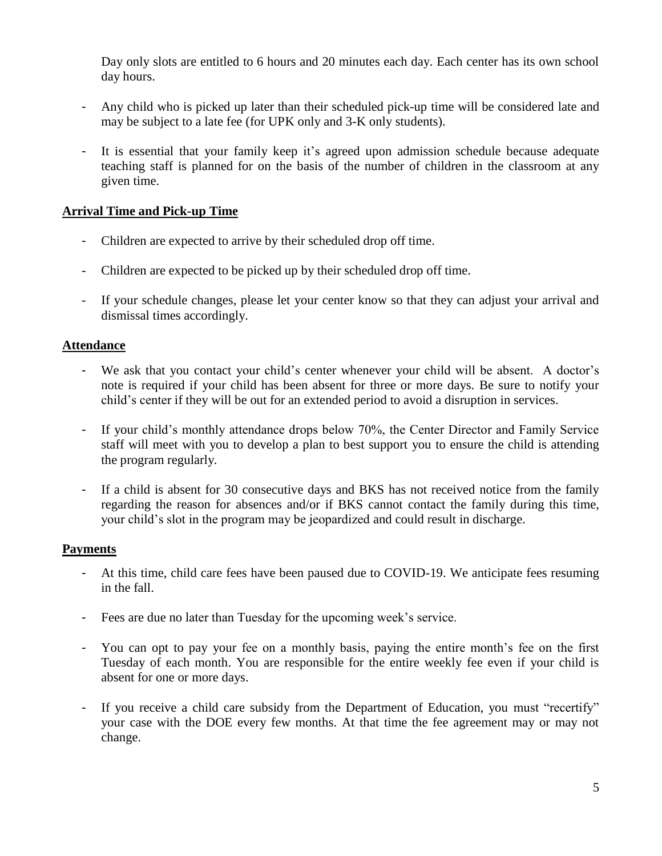Day only slots are entitled to 6 hours and 20 minutes each day. Each center has its own school day hours.

- Any child who is picked up later than their scheduled pick-up time will be considered late and may be subject to a late fee (for UPK only and 3-K only students).
- It is essential that your family keep it's agreed upon admission schedule because adequate teaching staff is planned for on the basis of the number of children in the classroom at any given time.

#### **Arrival Time and Pick-up Time**

- Children are expected to arrive by their scheduled drop off time.
- Children are expected to be picked up by their scheduled drop off time.
- If your schedule changes, please let your center know so that they can adjust your arrival and dismissal times accordingly.

#### **Attendance**

- We ask that you contact your child's center whenever your child will be absent. A doctor's note is required if your child has been absent for three or more days. Be sure to notify your child's center if they will be out for an extended period to avoid a disruption in services.
- If your child's monthly attendance drops below 70%, the Center Director and Family Service staff will meet with you to develop a plan to best support you to ensure the child is attending the program regularly.
- If a child is absent for 30 consecutive days and BKS has not received notice from the family regarding the reason for absences and/or if BKS cannot contact the family during this time, your child's slot in the program may be jeopardized and could result in discharge.

#### **Payments**

- At this time, child care fees have been paused due to COVID-19. We anticipate fees resuming in the fall.
- Fees are due no later than Tuesday for the upcoming week's service.
- You can opt to pay your fee on a monthly basis, paying the entire month's fee on the first Tuesday of each month. You are responsible for the entire weekly fee even if your child is absent for one or more days.
- If you receive a child care subsidy from the Department of Education, you must "recertify" your case with the DOE every few months. At that time the fee agreement may or may not change.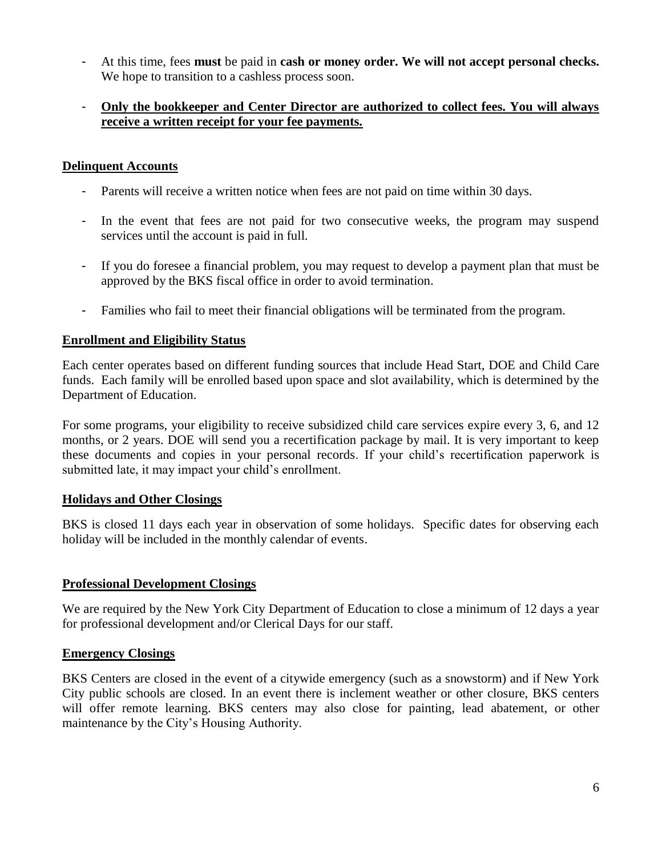- At this time, fees **must** be paid in **cash or money order. We will not accept personal checks.**  We hope to transition to a cashless process soon.

#### - **Only the bookkeeper and Center Director are authorized to collect fees. You will always receive a written receipt for your fee payments.**

#### **Delinquent Accounts**

- Parents will receive a written notice when fees are not paid on time within 30 days.
- In the event that fees are not paid for two consecutive weeks, the program may suspend services until the account is paid in full.
- If you do foresee a financial problem, you may request to develop a payment plan that must be approved by the BKS fiscal office in order to avoid termination.
- Families who fail to meet their financial obligations will be terminated from the program.

#### **Enrollment and Eligibility Status**

Each center operates based on different funding sources that include Head Start, DOE and Child Care funds. Each family will be enrolled based upon space and slot availability, which is determined by the Department of Education.

For some programs, your eligibility to receive subsidized child care services expire every 3, 6, and 12 months, or 2 years. DOE will send you a recertification package by mail. It is very important to keep these documents and copies in your personal records. If your child's recertification paperwork is submitted late, it may impact your child's enrollment.

#### **Holidays and Other Closings**

BKS is closed 11 days each year in observation of some holidays. Specific dates for observing each holiday will be included in the monthly calendar of events.

#### **Professional Development Closings**

We are required by the New York City Department of Education to close a minimum of 12 days a year for professional development and/or Clerical Days for our staff.

#### **Emergency Closings**

BKS Centers are closed in the event of a citywide emergency (such as a snowstorm) and if New York City public schools are closed. In an event there is inclement weather or other closure, BKS centers will offer remote learning. BKS centers may also close for painting, lead abatement, or other maintenance by the City's Housing Authority.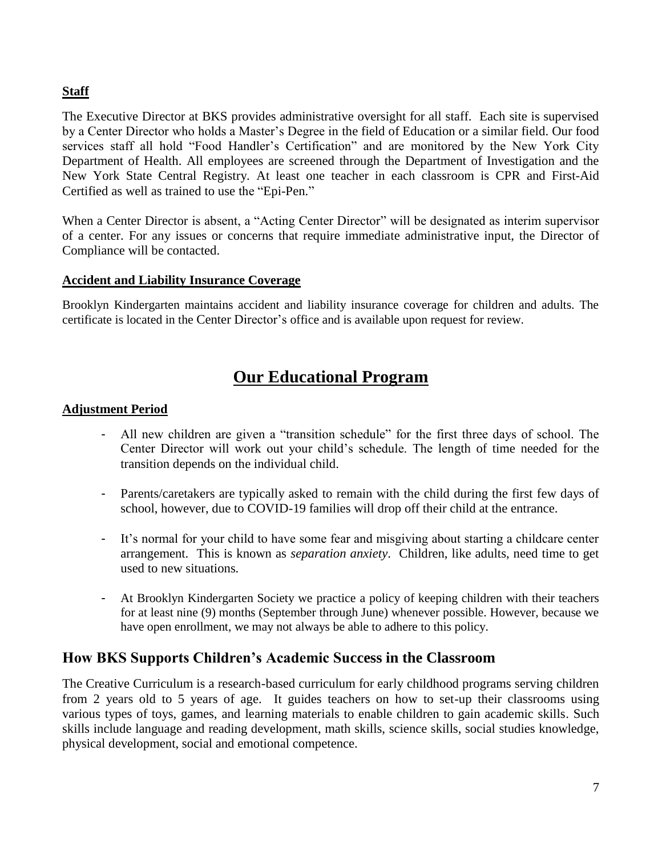#### **Staff**

The Executive Director at BKS provides administrative oversight for all staff. Each site is supervised by a Center Director who holds a Master's Degree in the field of Education or a similar field. Our food services staff all hold "Food Handler's Certification" and are monitored by the New York City Department of Health. All employees are screened through the Department of Investigation and the New York State Central Registry. At least one teacher in each classroom is CPR and First-Aid Certified as well as trained to use the "Epi-Pen."

When a Center Director is absent, a "Acting Center Director" will be designated as interim supervisor of a center. For any issues or concerns that require immediate administrative input, the Director of Compliance will be contacted.

#### **Accident and Liability Insurance Coverage**

Brooklyn Kindergarten maintains accident and liability insurance coverage for children and adults. The certificate is located in the Center Director's office and is available upon request for review.

## **Our Educational Program**

#### **Adjustment Period**

- All new children are given a "transition schedule" for the first three days of school. The Center Director will work out your child's schedule. The length of time needed for the transition depends on the individual child.
- Parents/caretakers are typically asked to remain with the child during the first few days of school, however, due to COVID-19 families will drop off their child at the entrance.
- It's normal for your child to have some fear and misgiving about starting a childcare center arrangement. This is known as *separation anxiety*. Children, like adults, need time to get used to new situations.
- At Brooklyn Kindergarten Society we practice a policy of keeping children with their teachers for at least nine (9) months (September through June) whenever possible. However, because we have open enrollment, we may not always be able to adhere to this policy.

#### **How BKS Supports Children's Academic Success in the Classroom**

The Creative Curriculum is a research-based curriculum for early childhood programs serving children from 2 years old to 5 years of age. It guides teachers on how to set-up their classrooms using various types of toys, games, and learning materials to enable children to gain academic skills. Such skills include language and reading development, math skills, science skills, social studies knowledge, physical development, social and emotional competence.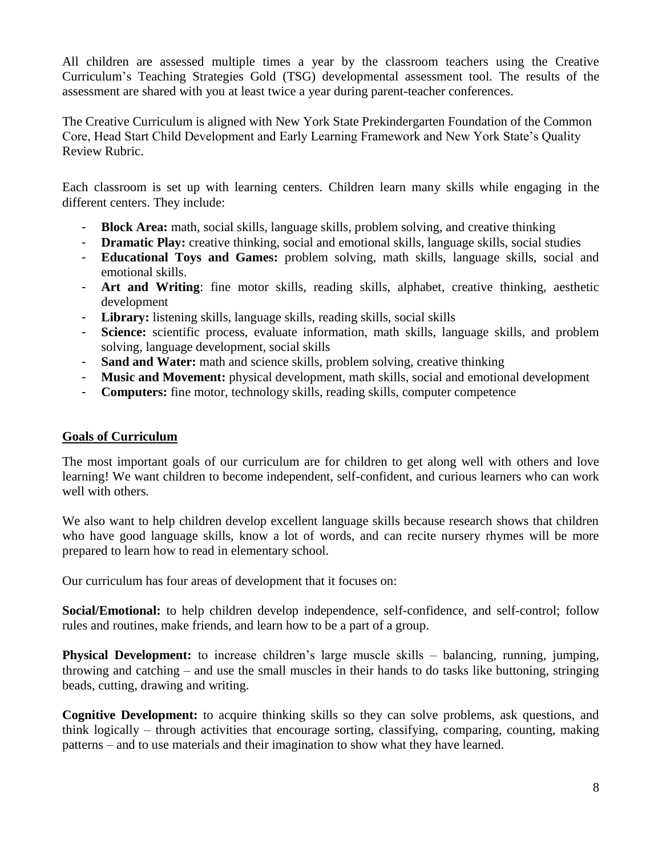All children are assessed multiple times a year by the classroom teachers using the Creative Curriculum's Teaching Strategies Gold (TSG) developmental assessment tool. The results of the assessment are shared with you at least twice a year during parent-teacher conferences.

The Creative Curriculum is aligned with New York State Prekindergarten Foundation of the Common Core, Head Start Child Development and Early Learning Framework and New York State's Quality Review Rubric.

Each classroom is set up with learning centers. Children learn many skills while engaging in the different centers. They include:

- **Block Area:** math, social skills, language skills, problem solving, and creative thinking
- **Dramatic Play:** creative thinking, social and emotional skills, language skills, social studies
- **Educational Toys and Games:** problem solving, math skills, language skills, social and emotional skills.
- **Art and Writing**: fine motor skills, reading skills, alphabet, creative thinking, aesthetic development
- **Library:** listening skills, language skills, reading skills, social skills
- **Science:** scientific process, evaluate information, math skills, language skills, and problem solving, language development, social skills
- **Sand and Water:** math and science skills, problem solving, creative thinking
- **Music and Movement:** physical development, math skills, social and emotional development
- **Computers:** fine motor, technology skills, reading skills, computer competence

#### **Goals of Curriculum**

The most important goals of our curriculum are for children to get along well with others and love learning! We want children to become independent, self-confident, and curious learners who can work well with others.

We also want to help children develop excellent language skills because research shows that children who have good language skills, know a lot of words, and can recite nursery rhymes will be more prepared to learn how to read in elementary school.

Our curriculum has four areas of development that it focuses on:

**Social/Emotional:** to help children develop independence, self-confidence, and self-control; follow rules and routines, make friends, and learn how to be a part of a group.

**Physical Development:** to increase children's large muscle skills – balancing, running, jumping, throwing and catching – and use the small muscles in their hands to do tasks like buttoning, stringing beads, cutting, drawing and writing.

**Cognitive Development:** to acquire thinking skills so they can solve problems, ask questions, and think logically – through activities that encourage sorting, classifying, comparing, counting, making patterns – and to use materials and their imagination to show what they have learned.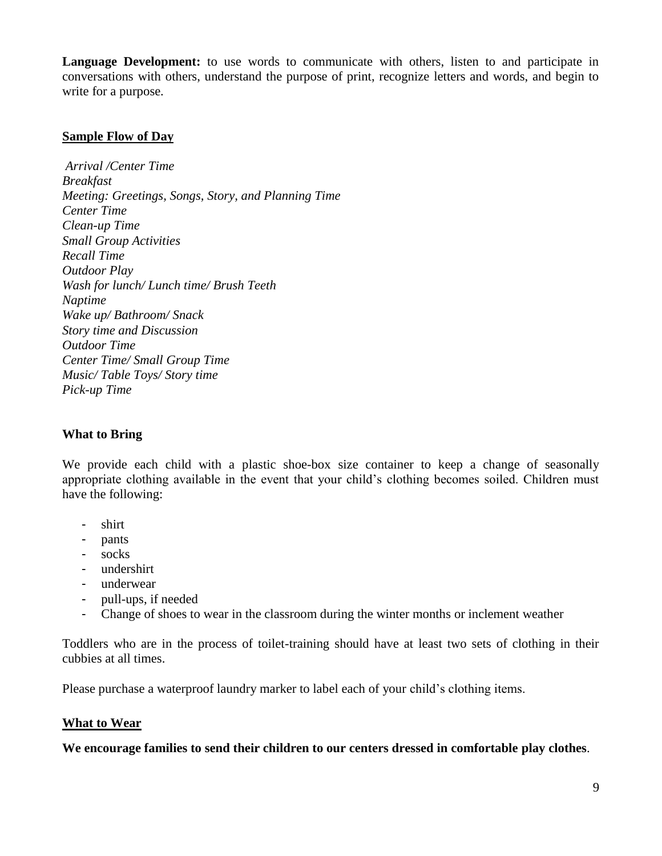**Language Development:** to use words to communicate with others, listen to and participate in conversations with others, understand the purpose of print, recognize letters and words, and begin to write for a purpose.

#### **Sample Flow of Day**

*Arrival /Center Time Breakfast Meeting: Greetings, Songs, Story, and Planning Time Center Time Clean-up Time Small Group Activities Recall Time Outdoor Play Wash for lunch/ Lunch time/ Brush Teeth Naptime Wake up/ Bathroom/ Snack Story time and Discussion Outdoor Time Center Time/ Small Group Time Music/ Table Toys/ Story time Pick-up Time*

#### **What to Bring**

We provide each child with a plastic shoe-box size container to keep a change of seasonally appropriate clothing available in the event that your child's clothing becomes soiled. Children must have the following:

- shirt
- pants
- socks
- undershirt
- underwear
- pull-ups, if needed
- Change of shoes to wear in the classroom during the winter months or inclement weather

Toddlers who are in the process of toilet-training should have at least two sets of clothing in their cubbies at all times.

Please purchase a waterproof laundry marker to label each of your child's clothing items.

#### **What to Wear**

**We encourage families to send their children to our centers dressed in comfortable play clothes**.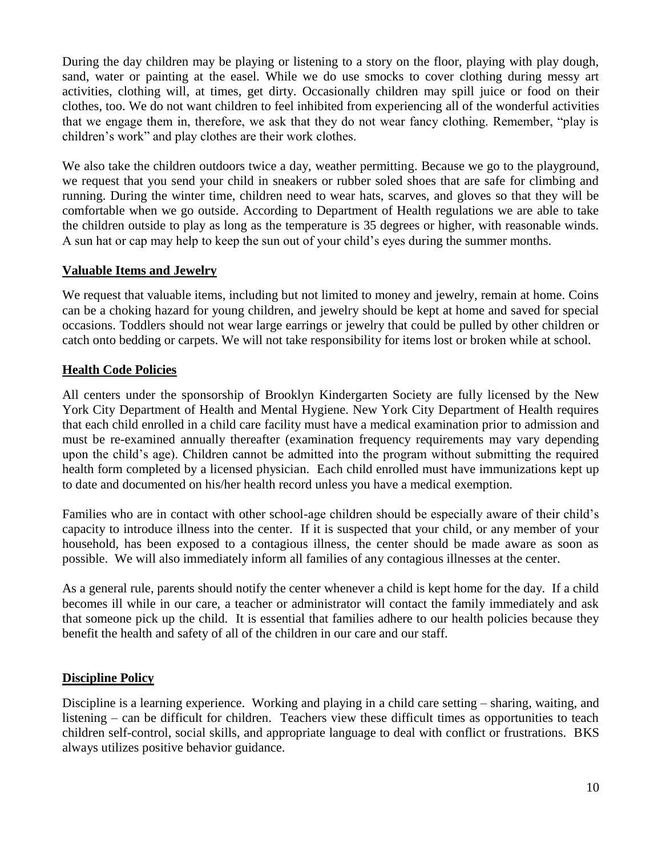During the day children may be playing or listening to a story on the floor, playing with play dough, sand, water or painting at the easel. While we do use smocks to cover clothing during messy art activities, clothing will, at times, get dirty. Occasionally children may spill juice or food on their clothes, too. We do not want children to feel inhibited from experiencing all of the wonderful activities that we engage them in, therefore, we ask that they do not wear fancy clothing. Remember, "play is children's work" and play clothes are their work clothes.

We also take the children outdoors twice a day, weather permitting. Because we go to the playground, we request that you send your child in sneakers or rubber soled shoes that are safe for climbing and running. During the winter time, children need to wear hats, scarves, and gloves so that they will be comfortable when we go outside. According to Department of Health regulations we are able to take the children outside to play as long as the temperature is 35 degrees or higher, with reasonable winds. A sun hat or cap may help to keep the sun out of your child's eyes during the summer months.

#### **Valuable Items and Jewelry**

We request that valuable items, including but not limited to money and jewelry, remain at home. Coins can be a choking hazard for young children, and jewelry should be kept at home and saved for special occasions. Toddlers should not wear large earrings or jewelry that could be pulled by other children or catch onto bedding or carpets. We will not take responsibility for items lost or broken while at school.

#### **Health Code Policies**

All centers under the sponsorship of Brooklyn Kindergarten Society are fully licensed by the New York City Department of Health and Mental Hygiene. New York City Department of Health requires that each child enrolled in a child care facility must have a medical examination prior to admission and must be re-examined annually thereafter (examination frequency requirements may vary depending upon the child's age). Children cannot be admitted into the program without submitting the required health form completed by a licensed physician. Each child enrolled must have immunizations kept up to date and documented on his/her health record unless you have a medical exemption.

Families who are in contact with other school-age children should be especially aware of their child's capacity to introduce illness into the center. If it is suspected that your child, or any member of your household, has been exposed to a contagious illness, the center should be made aware as soon as possible. We will also immediately inform all families of any contagious illnesses at the center.

As a general rule, parents should notify the center whenever a child is kept home for the day. If a child becomes ill while in our care, a teacher or administrator will contact the family immediately and ask that someone pick up the child. It is essential that families adhere to our health policies because they benefit the health and safety of all of the children in our care and our staff.

#### **Discipline Policy**

Discipline is a learning experience. Working and playing in a child care setting – sharing, waiting, and listening – can be difficult for children. Teachers view these difficult times as opportunities to teach children self-control, social skills, and appropriate language to deal with conflict or frustrations. BKS always utilizes positive behavior guidance.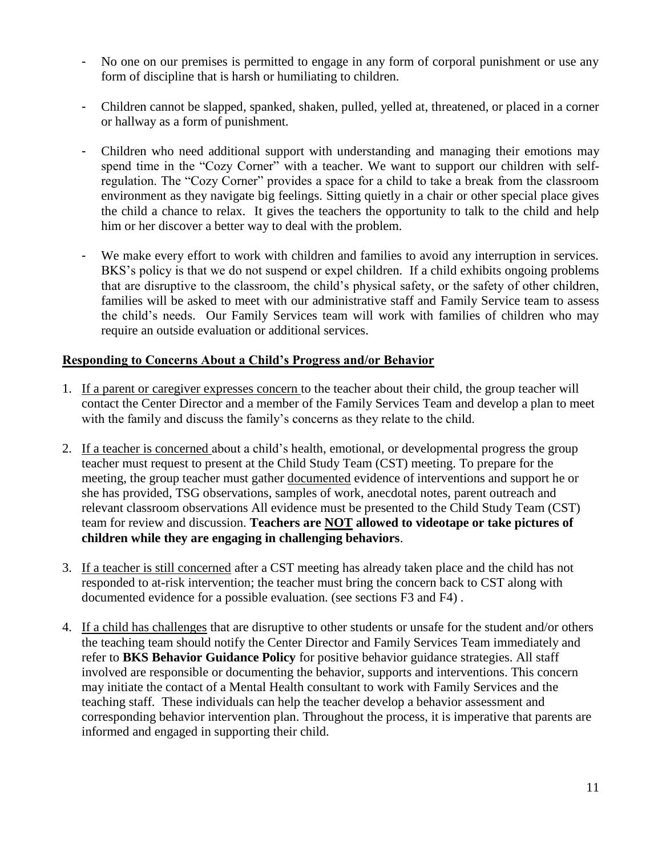- No one on our premises is permitted to engage in any form of corporal punishment or use any form of discipline that is harsh or humiliating to children.
- Children cannot be slapped, spanked, shaken, pulled, yelled at, threatened, or placed in a corner or hallway as a form of punishment.
- Children who need additional support with understanding and managing their emotions may spend time in the "Cozy Corner" with a teacher. We want to support our children with selfregulation. The "Cozy Corner" provides a space for a child to take a break from the classroom environment as they navigate big feelings. Sitting quietly in a chair or other special place gives the child a chance to relax. It gives the teachers the opportunity to talk to the child and help him or her discover a better way to deal with the problem.
- We make every effort to work with children and families to avoid any interruption in services. BKS's policy is that we do not suspend or expel children. If a child exhibits ongoing problems that are disruptive to the classroom, the child's physical safety, or the safety of other children, families will be asked to meet with our administrative staff and Family Service team to assess the child's needs. Our Family Services team will work with families of children who may require an outside evaluation or additional services.

#### **Responding to Concerns About a Child's Progress and/or Behavior**

- 1. If a parent or caregiver expresses concern to the teacher about their child, the group teacher will contact the Center Director and a member of the Family Services Team and develop a plan to meet with the family and discuss the family's concerns as they relate to the child.
- 2. If a teacher is concerned about a child's health, emotional, or developmental progress the group teacher must request to present at the Child Study Team (CST) meeting. To prepare for the meeting, the group teacher must gather documented evidence of interventions and support he or she has provided, TSG observations, samples of work, anecdotal notes, parent outreach and relevant classroom observations All evidence must be presented to the Child Study Team (CST) team for review and discussion. **Teachers are NOT allowed to videotape or take pictures of children while they are engaging in challenging behaviors**.
- 3. If a teacher is still concerned after a CST meeting has already taken place and the child has not responded to at-risk intervention; the teacher must bring the concern back to CST along with documented evidence for a possible evaluation. (see sections F3 and F4) .
- 4. If a child has challenges that are disruptive to other students or unsafe for the student and/or others the teaching team should notify the Center Director and Family Services Team immediately and refer to **BKS Behavior Guidance Policy** for positive behavior guidance strategies. All staff involved are responsible or documenting the behavior, supports and interventions. This concern may initiate the contact of a Mental Health consultant to work with Family Services and the teaching staff. These individuals can help the teacher develop a behavior assessment and corresponding behavior intervention plan. Throughout the process, it is imperative that parents are informed and engaged in supporting their child.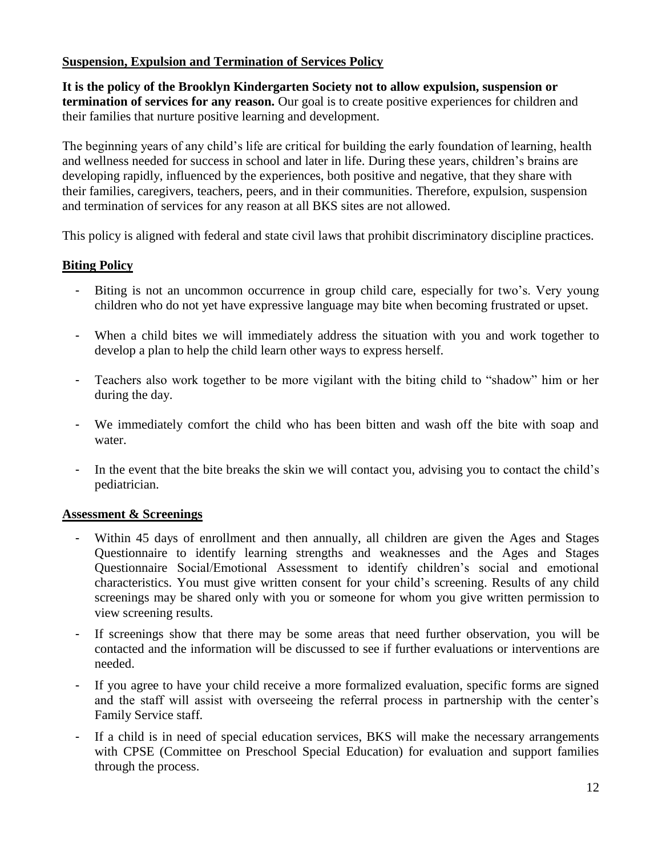#### **Suspension, Expulsion and Termination of Services Policy**

**It is the policy of the Brooklyn Kindergarten Society not to allow expulsion, suspension or termination of services for any reason.** Our goal is to create positive experiences for children and their families that nurture positive learning and development.

The beginning years of any child's life are critical for building the early foundation of learning, health and wellness needed for success in school and later in life. During these years, children's brains are developing rapidly, influenced by the experiences, both positive and negative, that they share with their families, caregivers, teachers, peers, and in their communities. Therefore, expulsion, suspension and termination of services for any reason at all BKS sites are not allowed.

This policy is aligned with federal and state civil laws that prohibit discriminatory discipline practices.

#### **Biting Policy**

- Biting is not an uncommon occurrence in group child care, especially for two's. Very young children who do not yet have expressive language may bite when becoming frustrated or upset.
- When a child bites we will immediately address the situation with you and work together to develop a plan to help the child learn other ways to express herself.
- Teachers also work together to be more vigilant with the biting child to "shadow" him or her during the day.
- We immediately comfort the child who has been bitten and wash off the bite with soap and water.
- In the event that the bite breaks the skin we will contact you, advising you to contact the child's pediatrician.

#### **Assessment & Screenings**

- Within 45 days of enrollment and then annually, all children are given the Ages and Stages Questionnaire to identify learning strengths and weaknesses and the Ages and Stages Questionnaire Social/Emotional Assessment to identify children's social and emotional characteristics. You must give written consent for your child's screening. Results of any child screenings may be shared only with you or someone for whom you give written permission to view screening results.
- If screenings show that there may be some areas that need further observation, you will be contacted and the information will be discussed to see if further evaluations or interventions are needed.
- If you agree to have your child receive a more formalized evaluation, specific forms are signed and the staff will assist with overseeing the referral process in partnership with the center's Family Service staff.
- If a child is in need of special education services, BKS will make the necessary arrangements with CPSE (Committee on Preschool Special Education) for evaluation and support families through the process.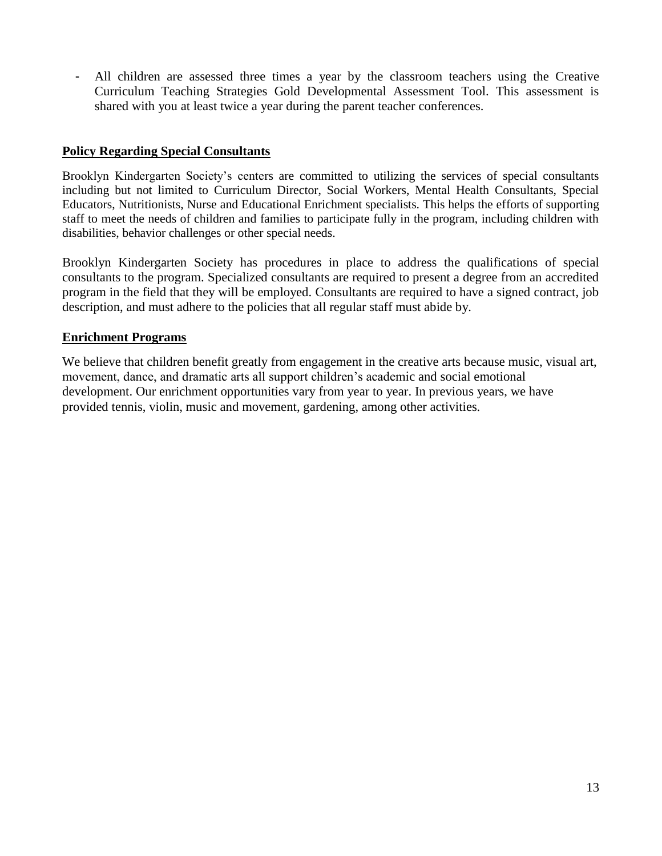- All children are assessed three times a year by the classroom teachers using the Creative Curriculum Teaching Strategies Gold Developmental Assessment Tool. This assessment is shared with you at least twice a year during the parent teacher conferences.

#### **Policy Regarding Special Consultants**

Brooklyn Kindergarten Society's centers are committed to utilizing the services of special consultants including but not limited to Curriculum Director, Social Workers, Mental Health Consultants, Special Educators, Nutritionists, Nurse and Educational Enrichment specialists. This helps the efforts of supporting staff to meet the needs of children and families to participate fully in the program, including children with disabilities, behavior challenges or other special needs.

Brooklyn Kindergarten Society has procedures in place to address the qualifications of special consultants to the program. Specialized consultants are required to present a degree from an accredited program in the field that they will be employed. Consultants are required to have a signed contract, job description, and must adhere to the policies that all regular staff must abide by.

#### **Enrichment Programs**

We believe that children benefit greatly from engagement in the creative arts because music, visual art, movement, dance, and dramatic arts all support children's academic and social emotional development. Our enrichment opportunities vary from year to year. In previous years, we have provided tennis, violin, music and movement, gardening, among other activities.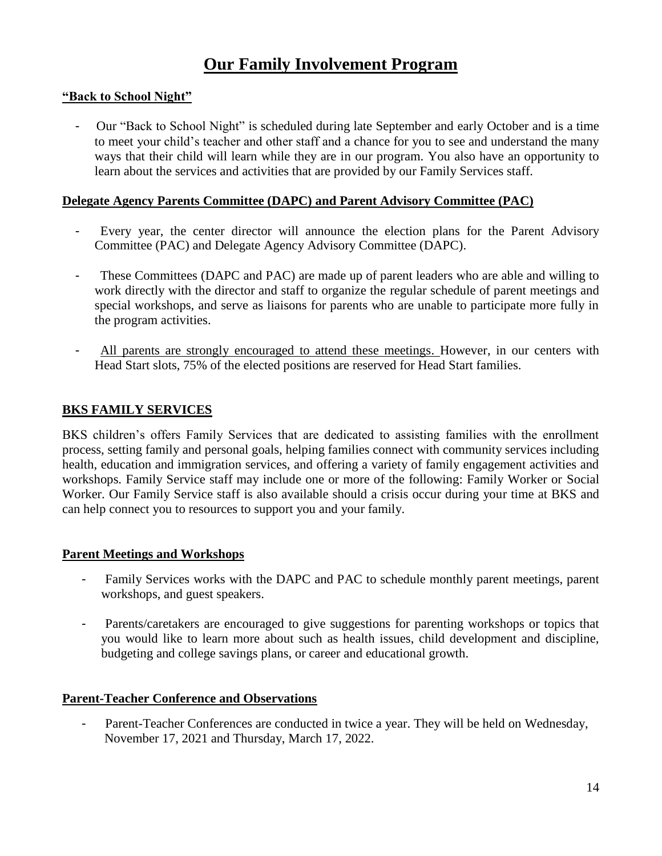## **Our Family Involvement Program**

#### **"Back to School Night"**

- Our "Back to School Night" is scheduled during late September and early October and is a time to meet your child's teacher and other staff and a chance for you to see and understand the many ways that their child will learn while they are in our program. You also have an opportunity to learn about the services and activities that are provided by our Family Services staff.

#### **Delegate Agency Parents Committee (DAPC) and Parent Advisory Committee (PAC)**

- Every year, the center director will announce the election plans for the Parent Advisory Committee (PAC) and Delegate Agency Advisory Committee (DAPC).
- These Committees (DAPC and PAC) are made up of parent leaders who are able and willing to work directly with the director and staff to organize the regular schedule of parent meetings and special workshops, and serve as liaisons for parents who are unable to participate more fully in the program activities.
- All parents are strongly encouraged to attend these meetings. However, in our centers with Head Start slots, 75% of the elected positions are reserved for Head Start families.

#### **BKS FAMILY SERVICES**

BKS children's offers Family Services that are dedicated to assisting families with the enrollment process, setting family and personal goals, helping families connect with community services including health, education and immigration services, and offering a variety of family engagement activities and workshops. Family Service staff may include one or more of the following: Family Worker or Social Worker. Our Family Service staff is also available should a crisis occur during your time at BKS and can help connect you to resources to support you and your family.

#### **Parent Meetings and Workshops**

- Family Services works with the DAPC and PAC to schedule monthly parent meetings, parent workshops, and guest speakers.
- Parents/caretakers are encouraged to give suggestions for parenting workshops or topics that you would like to learn more about such as health issues, child development and discipline, budgeting and college savings plans, or career and educational growth.

#### **Parent-Teacher Conference and Observations**

Parent-Teacher Conferences are conducted in twice a year. They will be held on Wednesday, November 17, 2021 and Thursday, March 17, 2022.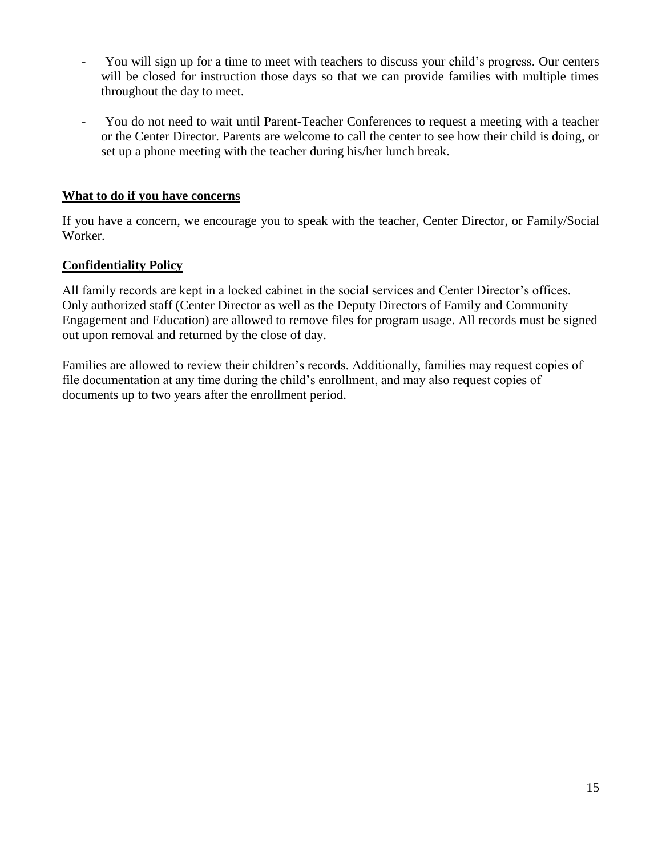- You will sign up for a time to meet with teachers to discuss your child's progress. Our centers will be closed for instruction those days so that we can provide families with multiple times throughout the day to meet.
- You do not need to wait until Parent-Teacher Conferences to request a meeting with a teacher or the Center Director. Parents are welcome to call the center to see how their child is doing, or set up a phone meeting with the teacher during his/her lunch break.

#### **What to do if you have concerns**

If you have a concern, we encourage you to speak with the teacher, Center Director, or Family/Social Worker.

#### **Confidentiality Policy**

All family records are kept in a locked cabinet in the social services and Center Director's offices. Only authorized staff (Center Director as well as the Deputy Directors of Family and Community Engagement and Education) are allowed to remove files for program usage. All records must be signed out upon removal and returned by the close of day.

Families are allowed to review their children's records. Additionally, families may request copies of file documentation at any time during the child's enrollment, and may also request copies of documents up to two years after the enrollment period.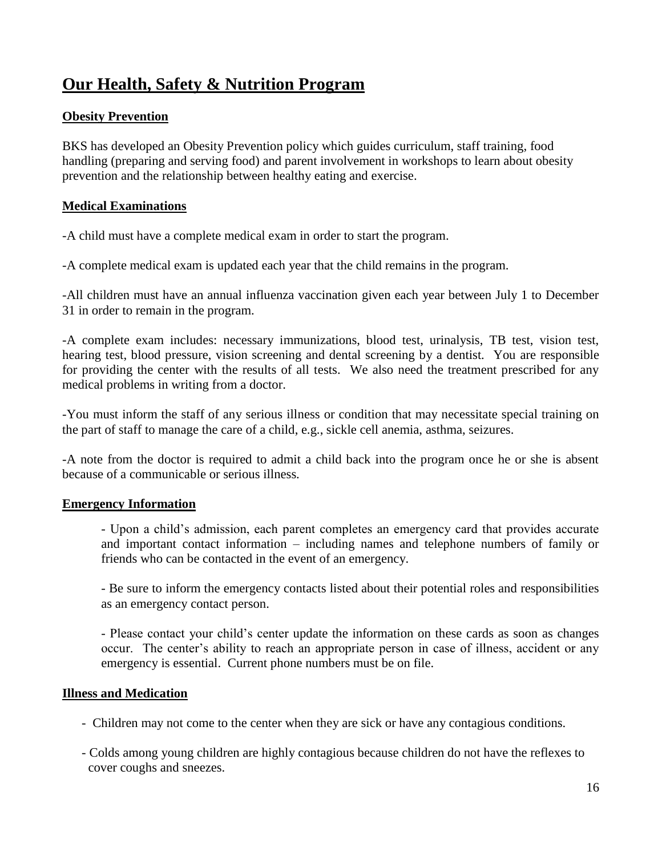## **Our Health, Safety & Nutrition Program**

#### **Obesity Prevention**

BKS has developed an Obesity Prevention policy which guides curriculum, staff training, food handling (preparing and serving food) and parent involvement in workshops to learn about obesity prevention and the relationship between healthy eating and exercise.

#### **Medical Examinations**

-A child must have a complete medical exam in order to start the program.

-A complete medical exam is updated each year that the child remains in the program.

-All children must have an annual influenza vaccination given each year between July 1 to December 31 in order to remain in the program.

-A complete exam includes: necessary immunizations, blood test, urinalysis, TB test, vision test, hearing test, blood pressure, vision screening and dental screening by a dentist. You are responsible for providing the center with the results of all tests. We also need the treatment prescribed for any medical problems in writing from a doctor.

-You must inform the staff of any serious illness or condition that may necessitate special training on the part of staff to manage the care of a child, e.g., sickle cell anemia, asthma, seizures.

-A note from the doctor is required to admit a child back into the program once he or she is absent because of a communicable or serious illness.

#### **Emergency Information**

- Upon a child's admission, each parent completes an emergency card that provides accurate and important contact information – including names and telephone numbers of family or friends who can be contacted in the event of an emergency.

- Be sure to inform the emergency contacts listed about their potential roles and responsibilities as an emergency contact person.

- Please contact your child's center update the information on these cards as soon as changes occur. The center's ability to reach an appropriate person in case of illness, accident or any emergency is essential. Current phone numbers must be on file.

#### **Illness and Medication**

- Children may not come to the center when they are sick or have any contagious conditions.
- Colds among young children are highly contagious because children do not have the reflexes to cover coughs and sneezes.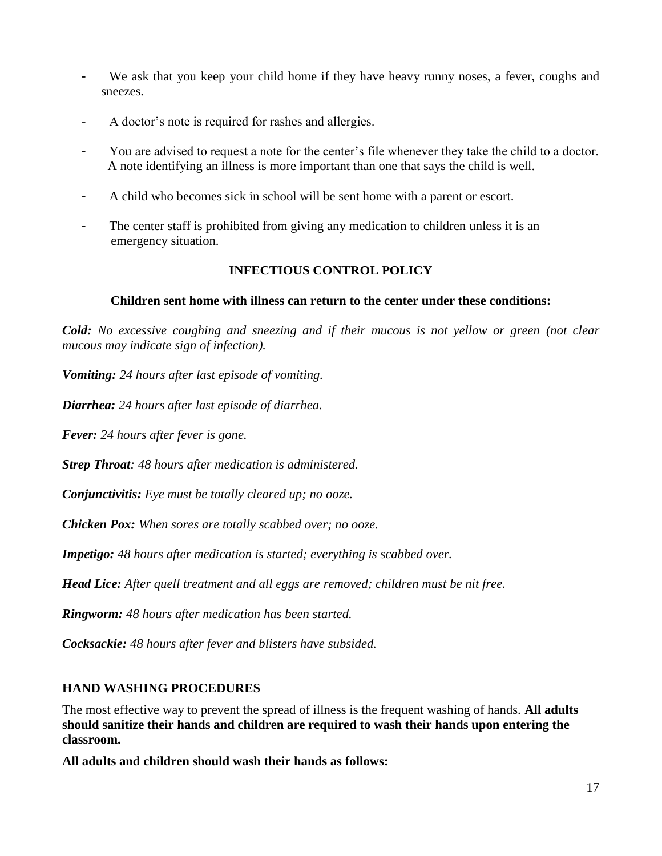- We ask that you keep your child home if they have heavy runny noses, a fever, coughs and sneezes.
- A doctor's note is required for rashes and allergies.
- You are advised to request a note for the center's file whenever they take the child to a doctor. A note identifying an illness is more important than one that says the child is well.
- A child who becomes sick in school will be sent home with a parent or escort.
- The center staff is prohibited from giving any medication to children unless it is an emergency situation.

#### **INFECTIOUS CONTROL POLICY**

#### **Children sent home with illness can return to the center under these conditions:**

*Cold: No excessive coughing and sneezing and if their mucous is not yellow or green (not clear mucous may indicate sign of infection).*

*Vomiting: 24 hours after last episode of vomiting.*

*Diarrhea: 24 hours after last episode of diarrhea.* 

*Fever: 24 hours after fever is gone.*

*Strep Throat: 48 hours after medication is administered.*

*Conjunctivitis: Eye must be totally cleared up; no ooze.*

*Chicken Pox: When sores are totally scabbed over; no ooze.*

*Impetigo: 48 hours after medication is started; everything is scabbed over.*

*Head Lice: After quell treatment and all eggs are removed; children must be nit free.*

*Ringworm: 48 hours after medication has been started.*

*Cocksackie: 48 hours after fever and blisters have subsided.*

#### **HAND WASHING PROCEDURES**

The most effective way to prevent the spread of illness is the frequent washing of hands. **All adults should sanitize their hands and children are required to wash their hands upon entering the classroom.**

**All adults and children should wash their hands as follows:**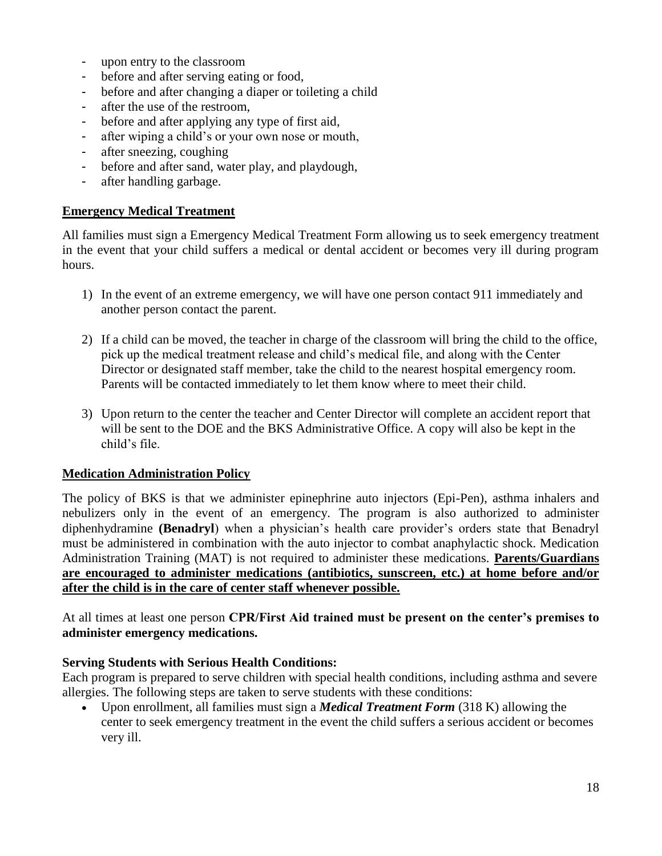- upon entry to the classroom
- before and after serving eating or food,
- before and after changing a diaper or toileting a child
- after the use of the restroom,
- before and after applying any type of first aid,
- after wiping a child's or your own nose or mouth,
- after sneezing, coughing
- before and after sand, water play, and playdough,
- after handling garbage.

#### **Emergency Medical Treatment**

All families must sign a Emergency Medical Treatment Form allowing us to seek emergency treatment in the event that your child suffers a medical or dental accident or becomes very ill during program hours.

- 1) In the event of an extreme emergency, we will have one person contact 911 immediately and another person contact the parent.
- 2) If a child can be moved, the teacher in charge of the classroom will bring the child to the office, pick up the medical treatment release and child's medical file, and along with the Center Director or designated staff member, take the child to the nearest hospital emergency room. Parents will be contacted immediately to let them know where to meet their child.
- 3) Upon return to the center the teacher and Center Director will complete an accident report that will be sent to the DOE and the BKS Administrative Office. A copy will also be kept in the child's file.

#### **Medication Administration Policy**

The policy of BKS is that we administer epinephrine auto injectors (Epi-Pen), asthma inhalers and nebulizers only in the event of an emergency. The program is also authorized to administer diphenhydramine **(Benadryl**) when a physician's health care provider's orders state that Benadryl must be administered in combination with the auto injector to combat anaphylactic shock. Medication Administration Training (MAT) is not required to administer these medications. **Parents/Guardians are encouraged to administer medications (antibiotics, sunscreen, etc.) at home before and/or after the child is in the care of center staff whenever possible.**

At all times at least one person **CPR/First Aid trained must be present on the center's premises to administer emergency medications.**

#### **Serving Students with Serious Health Conditions:**

Each program is prepared to serve children with special health conditions, including asthma and severe allergies. The following steps are taken to serve students with these conditions:

• Upon enrollment, all families must sign a *Medical Treatment Form* (318 K) allowing the center to seek emergency treatment in the event the child suffers a serious accident or becomes very ill.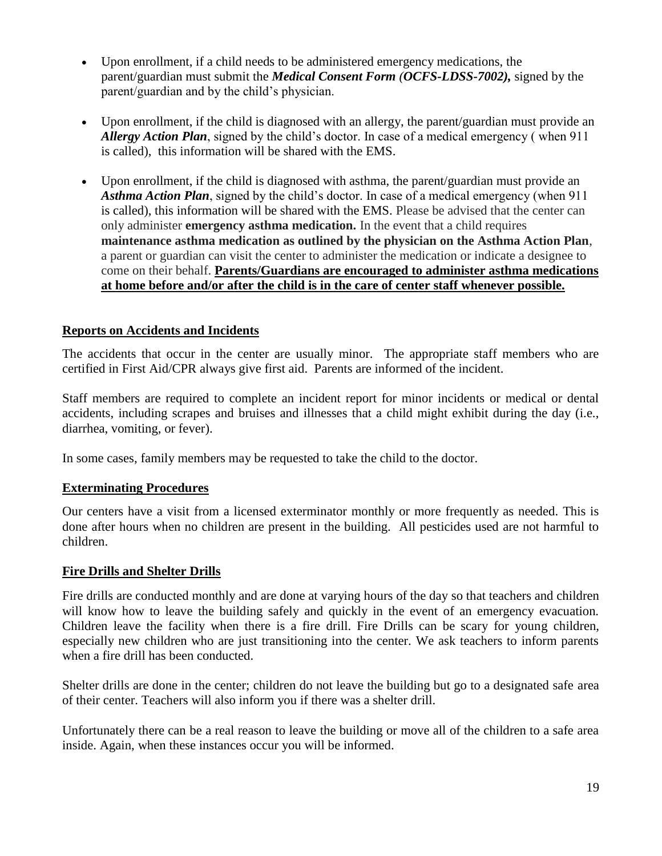- Upon enrollment, if a child needs to be administered emergency medications, the parent/guardian must submit the *Medical Consent Form (OCFS-LDSS-7002),* signed by the parent/guardian and by the child's physician.
- Upon enrollment, if the child is diagnosed with an allergy, the parent/guardian must provide an *Allergy Action Plan*, signed by the child's doctor. In case of a medical emergency ( when 911 is called), this information will be shared with the EMS.
- Upon enrollment, if the child is diagnosed with asthma, the parent/guardian must provide an *Asthma Action Plan*, signed by the child's doctor. In case of a medical emergency (when 911 is called), this information will be shared with the EMS. Please be advised that the center can only administer **emergency asthma medication.** In the event that a child requires **maintenance asthma medication as outlined by the physician on the Asthma Action Plan**, a parent or guardian can visit the center to administer the medication or indicate a designee to come on their behalf. **Parents/Guardians are encouraged to administer asthma medications at home before and/or after the child is in the care of center staff whenever possible.**

#### **Reports on Accidents and Incidents**

The accidents that occur in the center are usually minor. The appropriate staff members who are certified in First Aid/CPR always give first aid. Parents are informed of the incident.

Staff members are required to complete an incident report for minor incidents or medical or dental accidents, including scrapes and bruises and illnesses that a child might exhibit during the day (i.e., diarrhea, vomiting, or fever).

In some cases, family members may be requested to take the child to the doctor.

#### **Exterminating Procedures**

Our centers have a visit from a licensed exterminator monthly or more frequently as needed. This is done after hours when no children are present in the building. All pesticides used are not harmful to children.

#### **Fire Drills and Shelter Drills**

Fire drills are conducted monthly and are done at varying hours of the day so that teachers and children will know how to leave the building safely and quickly in the event of an emergency evacuation. Children leave the facility when there is a fire drill. Fire Drills can be scary for young children, especially new children who are just transitioning into the center. We ask teachers to inform parents when a fire drill has been conducted.

Shelter drills are done in the center; children do not leave the building but go to a designated safe area of their center. Teachers will also inform you if there was a shelter drill.

Unfortunately there can be a real reason to leave the building or move all of the children to a safe area inside. Again, when these instances occur you will be informed.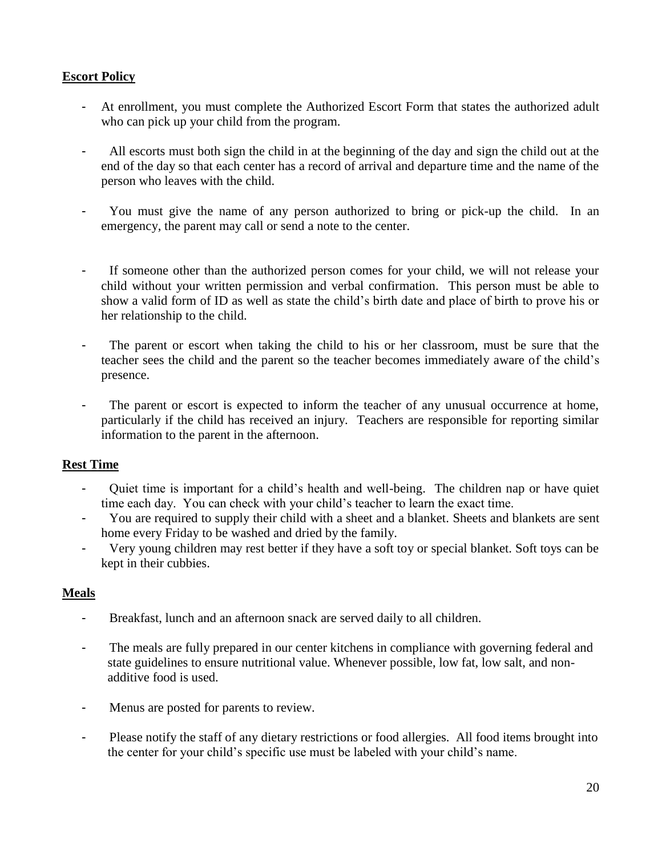#### **Escort Policy**

- At enrollment, you must complete the Authorized Escort Form that states the authorized adult who can pick up your child from the program.
- All escorts must both sign the child in at the beginning of the day and sign the child out at the end of the day so that each center has a record of arrival and departure time and the name of the person who leaves with the child.
- You must give the name of any person authorized to bring or pick-up the child. In an emergency, the parent may call or send a note to the center.
- If someone other than the authorized person comes for your child, we will not release your child without your written permission and verbal confirmation. This person must be able to show a valid form of ID as well as state the child's birth date and place of birth to prove his or her relationship to the child.
- The parent or escort when taking the child to his or her classroom, must be sure that the teacher sees the child and the parent so the teacher becomes immediately aware of the child's presence.
- The parent or escort is expected to inform the teacher of any unusual occurrence at home, particularly if the child has received an injury. Teachers are responsible for reporting similar information to the parent in the afternoon.

#### **Rest Time**

- Quiet time is important for a child's health and well-being. The children nap or have quiet time each day. You can check with your child's teacher to learn the exact time.
- You are required to supply their child with a sheet and a blanket. Sheets and blankets are sent home every Friday to be washed and dried by the family.
- Very young children may rest better if they have a soft toy or special blanket. Soft toys can be kept in their cubbies.

#### **Meals**

- Breakfast, lunch and an afternoon snack are served daily to all children.
- The meals are fully prepared in our center kitchens in compliance with governing federal and state guidelines to ensure nutritional value. Whenever possible, low fat, low salt, and non additive food is used.
- Menus are posted for parents to review.
- Please notify the staff of any dietary restrictions or food allergies. All food items brought into the center for your child's specific use must be labeled with your child's name.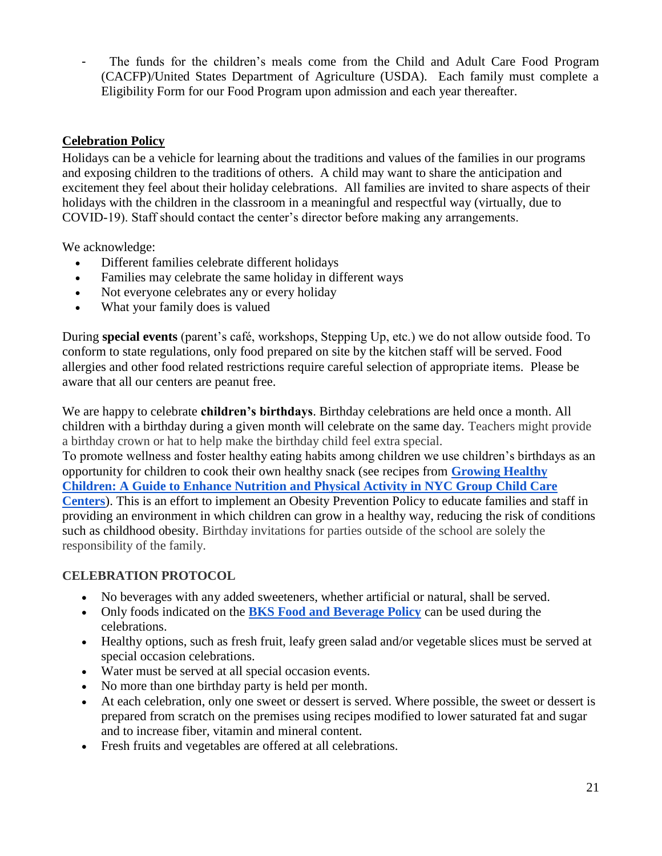- The funds for the children's meals come from the Child and Adult Care Food Program (CACFP)/United States Department of Agriculture (USDA). Each family must complete a Eligibility Form for our Food Program upon admission and each year thereafter.

#### **Celebration Policy**

Holidays can be a vehicle for learning about the traditions and values of the families in our programs and exposing children to the traditions of others. A child may want to share the anticipation and excitement they feel about their holiday celebrations. All families are invited to share aspects of their holidays with the children in the classroom in a meaningful and respectful way (virtually, due to COVID-19). Staff should contact the center's director before making any arrangements.

We acknowledge:

- Different families celebrate different holidays
- Families may celebrate the same holiday in different ways
- Not everyone celebrates any or every holiday
- What your family does is valued

During **special events** (parent's café, workshops, Stepping Up, etc.) we do not allow outside food. To conform to state regulations, only food prepared on site by the kitchen staff will be served. Food allergies and other food related restrictions require careful selection of appropriate items. Please be aware that all our centers are peanut free.

We are happy to celebrate **children's birthdays**. Birthday celebrations are held once a month. All children with a birthday during a given month will celebrate on the same day. Teachers might provide a birthday crown or hat to help make the birthday child feel extra special. To promote wellness and foster healthy eating habits among children we use children's birthdays as an opportunity for children to cook their own healthy snack (see recipes from **[Growing Healthy](https://www1.nyc.gov/assets/doh/downloads/pdf/cdp/growing-healthy-children.pdf)  [Children: A Guide to Enhance Nutrition and Physical Activity in NYC Group Child Care](https://www1.nyc.gov/assets/doh/downloads/pdf/cdp/growing-healthy-children.pdf)  [Centers](https://www1.nyc.gov/assets/doh/downloads/pdf/cdp/growing-healthy-children.pdf)**). This is an effort to implement an Obesity Prevention Policy to educate families and staff in

providing an environment in which children can grow in a healthy way, reducing the risk of conditions such as childhood obesity. Birthday invitations for parties outside of the school are solely the responsibility of the family.

#### **CELEBRATION PROTOCOL**

- No beverages with any added sweeteners, whether artificial or natural, shall be served.
- Only foods indicated on the **[BKS Food and Beverage Policy](https://drive.google.com/file/d/1VEAm5b92RcHAFpICY6vy4Z3c-8BmHnk3/view?usp=sharing)** can be used during the celebrations.
- Healthy options, such as fresh fruit, leafy green salad and/or vegetable slices must be served at special occasion celebrations.
- Water must be served at all special occasion events.
- No more than one birthday party is held per month.
- At each celebration, only one sweet or dessert is served. Where possible, the sweet or dessert is prepared from scratch on the premises using recipes modified to lower saturated fat and sugar and to increase fiber, vitamin and mineral content.
- Fresh fruits and vegetables are offered at all celebrations.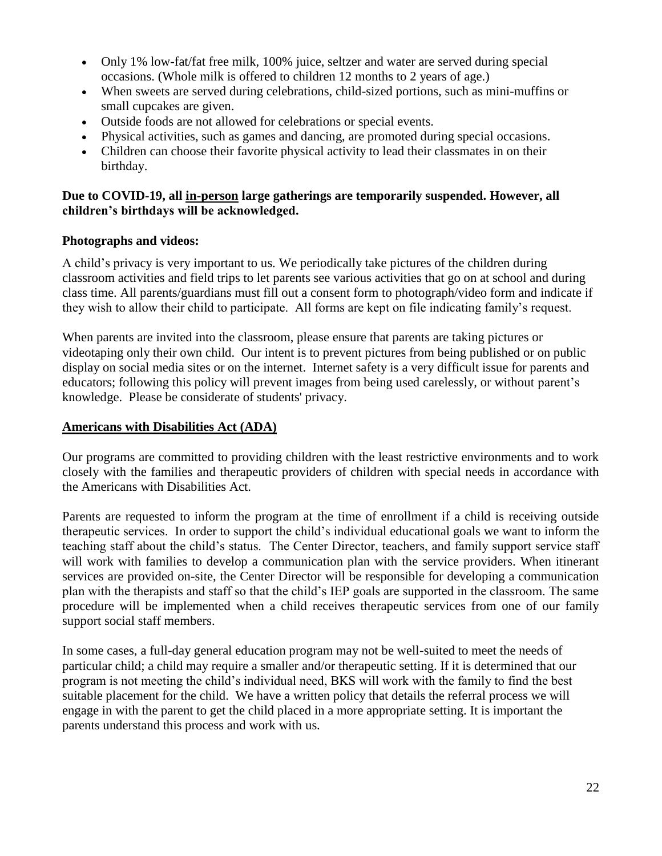- Only 1% low-fat/fat free milk, 100% juice, seltzer and water are served during special occasions. (Whole milk is offered to children 12 months to 2 years of age.)
- When sweets are served during celebrations, child-sized portions, such as mini-muffins or small cupcakes are given.
- Outside foods are not allowed for celebrations or special events.
- Physical activities, such as games and dancing, are promoted during special occasions.
- Children can choose their favorite physical activity to lead their classmates in on their birthday.

#### **Due to COVID-19, all in-person large gatherings are temporarily suspended. However, all children's birthdays will be acknowledged.**

#### **Photographs and videos:**

A child's privacy is very important to us. We periodically take pictures of the children during classroom activities and field trips to let parents see various activities that go on at school and during class time. All parents/guardians must fill out a consent form to photograph/video form and indicate if they wish to allow their child to participate. All forms are kept on file indicating family's request.

When parents are invited into the classroom, please ensure that parents are taking pictures or videotaping only their own child. Our intent is to prevent pictures from being published or on public display on social media sites or on the internet. Internet safety is a very difficult issue for parents and educators; following this policy will prevent images from being used carelessly, or without parent's knowledge. Please be considerate of students' privacy.

#### **Americans with Disabilities Act (ADA)**

Our programs are committed to providing children with the least restrictive environments and to work closely with the families and therapeutic providers of children with special needs in accordance with the Americans with Disabilities Act.

Parents are requested to inform the program at the time of enrollment if a child is receiving outside therapeutic services. In order to support the child's individual educational goals we want to inform the teaching staff about the child's status. The Center Director, teachers, and family support service staff will work with families to develop a communication plan with the service providers. When itinerant services are provided on-site, the Center Director will be responsible for developing a communication plan with the therapists and staff so that the child's IEP goals are supported in the classroom. The same procedure will be implemented when a child receives therapeutic services from one of our family support social staff members.

In some cases, a full-day general education program may not be well-suited to meet the needs of particular child; a child may require a smaller and/or therapeutic setting. If it is determined that our program is not meeting the child's individual need, BKS will work with the family to find the best suitable placement for the child. We have a written policy that details the referral process we will engage in with the parent to get the child placed in a more appropriate setting. It is important the parents understand this process and work with us.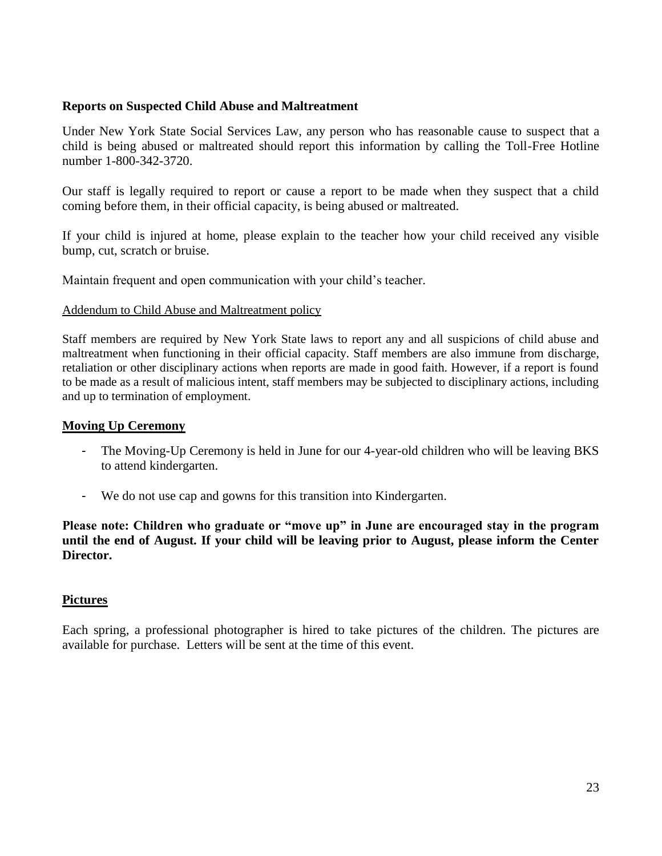#### **Reports on Suspected Child Abuse and Maltreatment**

Under New York State Social Services Law, any person who has reasonable cause to suspect that a child is being abused or maltreated should report this information by calling the Toll-Free Hotline number 1-800-342-3720.

Our staff is legally required to report or cause a report to be made when they suspect that a child coming before them, in their official capacity, is being abused or maltreated.

If your child is injured at home, please explain to the teacher how your child received any visible bump, cut, scratch or bruise.

Maintain frequent and open communication with your child's teacher.

#### Addendum to Child Abuse and Maltreatment policy

Staff members are required by New York State laws to report any and all suspicions of child abuse and maltreatment when functioning in their official capacity. Staff members are also immune from discharge, retaliation or other disciplinary actions when reports are made in good faith. However, if a report is found to be made as a result of malicious intent, staff members may be subjected to disciplinary actions, including and up to termination of employment.

#### **Moving Up Ceremony**

- The Moving-Up Ceremony is held in June for our 4-year-old children who will be leaving BKS to attend kindergarten.
- We do not use cap and gowns for this transition into Kindergarten.

**Please note: Children who graduate or "move up" in June are encouraged stay in the program until the end of August. If your child will be leaving prior to August, please inform the Center Director.**

#### **Pictures**

Each spring, a professional photographer is hired to take pictures of the children. The pictures are available for purchase. Letters will be sent at the time of this event.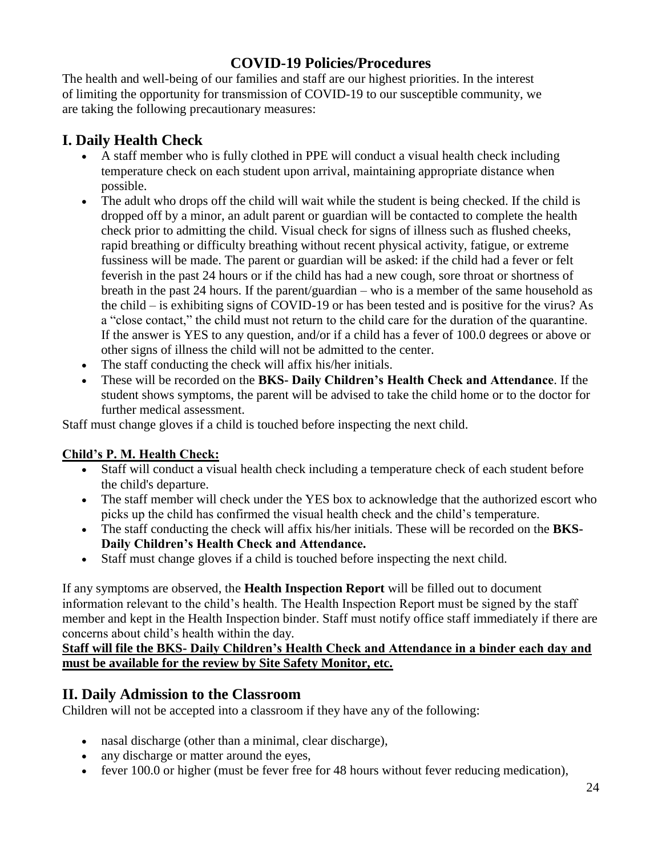## **COVID-19 Policies/Procedures**

The health and well-being of our families and staff are our highest priorities. In the interest of limiting the opportunity for transmission of COVID-19 to our susceptible community, we are taking the following precautionary measures:

## **I. Daily Health Check**

- A staff member who is fully clothed in PPE will conduct a visual health check including temperature check on each student upon arrival, maintaining appropriate distance when possible.
- The adult who drops off the child will wait while the student is being checked. If the child is dropped off by a minor, an adult parent or guardian will be contacted to complete the health check prior to admitting the child. Visual check for signs of illness such as flushed cheeks, rapid breathing or difficulty breathing without recent physical activity, fatigue, or extreme fussiness will be made. The parent or guardian will be asked: if the child had a fever or felt feverish in the past 24 hours or if the child has had a new cough, sore throat or shortness of breath in the past 24 hours. If the parent/guardian – who is a member of the same household as the child – is exhibiting signs of COVID-19 or has been tested and is positive for the virus? As a "close contact," the child must not return to the child care for the duration of the quarantine. If the answer is YES to any question, and/or if a child has a fever of 100.0 degrees or above or other signs of illness the child will not be admitted to the center.
- The staff conducting the check will affix his/her initials.
- These will be recorded on the **BKS- Daily Children's Health Check and Attendance**. If the student shows symptoms, the parent will be advised to take the child home or to the doctor for further medical assessment.

Staff must change gloves if a child is touched before inspecting the next child.

#### **Child's P. M. Health Check:**

- Staff will conduct a visual health check including a temperature check of each student before the child's departure.
- The staff member will check under the YES box to acknowledge that the authorized escort who picks up the child has confirmed the visual health check and the child's temperature.
- The staff conducting the check will affix his/her initials. These will be recorded on the **BKS-Daily Children's Health Check and Attendance.**
- Staff must change gloves if a child is touched before inspecting the next child.

If any symptoms are observed, the **Health Inspection Report** will be filled out to document information relevant to the child's health. The Health Inspection Report must be signed by the staff member and kept in the Health Inspection binder. Staff must notify office staff immediately if there are concerns about child's health within the day.

**Staff will file the BKS- Daily Children's Health Check and Attendance in a binder each day and must be available for the review by Site Safety Monitor, etc.**

### **II. Daily Admission to the Classroom**

Children will not be accepted into a classroom if they have any of the following:

- nasal discharge (other than a minimal, clear discharge),
- any discharge or matter around the eyes,
- fever 100.0 or higher (must be fever free for 48 hours without fever reducing medication),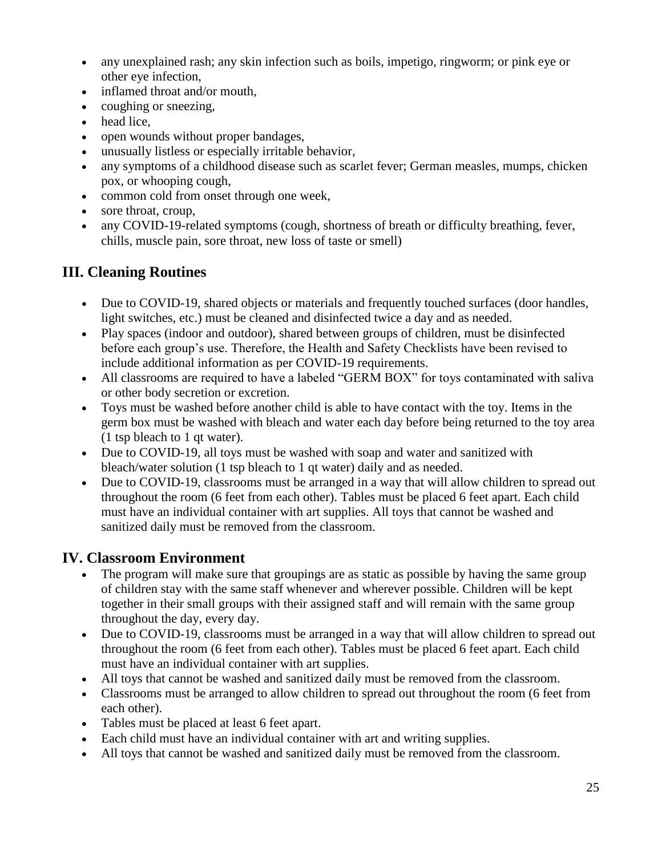- any unexplained rash; any skin infection such as boils, impetigo, ringworm; or pink eye or other eye infection,
- inflamed throat and/or mouth,
- coughing or sneezing,
- head lice,
- open wounds without proper bandages,
- unusually listless or especially irritable behavior,
- any symptoms of a childhood disease such as scarlet fever; German measles, mumps, chicken pox, or whooping cough,
- common cold from onset through one week,
- sore throat, croup,
- any COVID-19-related symptoms (cough, shortness of breath or difficulty breathing, fever, chills, muscle pain, sore throat, new loss of taste or smell)

## **III. Cleaning Routines**

- Due to COVID-19, shared objects or materials and frequently touched surfaces (door handles, light switches, etc.) must be cleaned and disinfected twice a day and as needed.
- Play spaces (indoor and outdoor), shared between groups of children, must be disinfected before each group's use. Therefore, the Health and Safety Checklists have been revised to include additional information as per COVID-19 requirements.
- All classrooms are required to have a labeled "GERM BOX" for toys contaminated with saliva or other body secretion or excretion.
- Toys must be washed before another child is able to have contact with the toy. Items in the germ box must be washed with bleach and water each day before being returned to the toy area (1 tsp bleach to 1 qt water).
- Due to COVID-19, all toys must be washed with soap and water and sanitized with bleach/water solution (1 tsp bleach to 1 qt water) daily and as needed.
- Due to COVID-19, classrooms must be arranged in a way that will allow children to spread out throughout the room (6 feet from each other). Tables must be placed 6 feet apart. Each child must have an individual container with art supplies. All toys that cannot be washed and sanitized daily must be removed from the classroom.

## **IV. Classroom Environment**

- The program will make sure that groupings are as static as possible by having the same group of children stay with the same staff whenever and wherever possible. Children will be kept together in their small groups with their assigned staff and will remain with the same group throughout the day, every day.
- Due to COVID-19, classrooms must be arranged in a way that will allow children to spread out throughout the room (6 feet from each other). Tables must be placed 6 feet apart. Each child must have an individual container with art supplies.
- All toys that cannot be washed and sanitized daily must be removed from the classroom.
- Classrooms must be arranged to allow children to spread out throughout the room (6 feet from each other).
- Tables must be placed at least 6 feet apart.
- Each child must have an individual container with art and writing supplies.
- All toys that cannot be washed and sanitized daily must be removed from the classroom.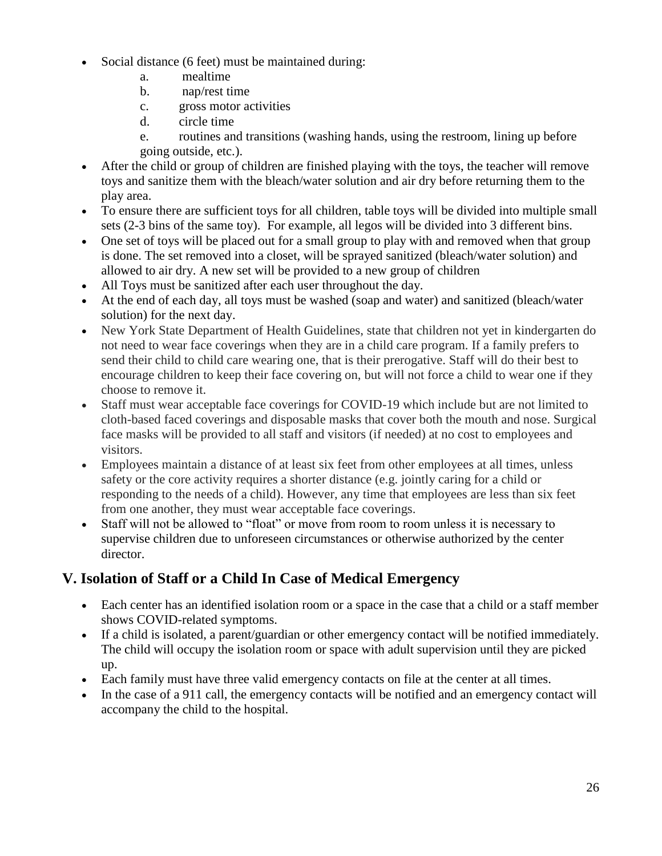- Social distance (6 feet) must be maintained during:
	- a. mealtime
	- b. nap/rest time
	- c. gross motor activities
	- d. circle time
	- e. routines and transitions (washing hands, using the restroom, lining up before going outside, etc.).
- After the child or group of children are finished playing with the toys, the teacher will remove toys and sanitize them with the bleach/water solution and air dry before returning them to the play area.
- To ensure there are sufficient toys for all children, table toys will be divided into multiple small sets (2-3 bins of the same toy). For example, all legos will be divided into 3 different bins.
- One set of toys will be placed out for a small group to play with and removed when that group is done. The set removed into a closet, will be sprayed sanitized (bleach/water solution) and allowed to air dry. A new set will be provided to a new group of children
- All Toys must be sanitized after each user throughout the day.
- At the end of each day, all toys must be washed (soap and water) and sanitized (bleach/water solution) for the next day.
- New York State Department of Health Guidelines, state that children not yet in kindergarten do not need to wear face coverings when they are in a child care program. If a family prefers to send their child to child care wearing one, that is their prerogative. Staff will do their best to encourage children to keep their face covering on, but will not force a child to wear one if they choose to remove it.
- Staff must wear acceptable face coverings for COVID-19 which include but are not limited to cloth-based faced coverings and disposable masks that cover both the mouth and nose. Surgical face masks will be provided to all staff and visitors (if needed) at no cost to employees and visitors.
- Employees maintain a distance of at least six feet from other employees at all times, unless safety or the core activity requires a shorter distance (e.g. jointly caring for a child or responding to the needs of a child). However, any time that employees are less than six feet from one another, they must wear acceptable face coverings.
- Staff will not be allowed to "float" or move from room to room unless it is necessary to supervise children due to unforeseen circumstances or otherwise authorized by the center director.

## **V. Isolation of Staff or a Child In Case of Medical Emergency**

- Each center has an identified isolation room or a space in the case that a child or a staff member shows COVID-related symptoms.
- If a child is isolated, a parent/guardian or other emergency contact will be notified immediately. The child will occupy the isolation room or space with adult supervision until they are picked up.
- Each family must have three valid emergency contacts on file at the center at all times.
- In the case of a 911 call, the emergency contacts will be notified and an emergency contact will accompany the child to the hospital.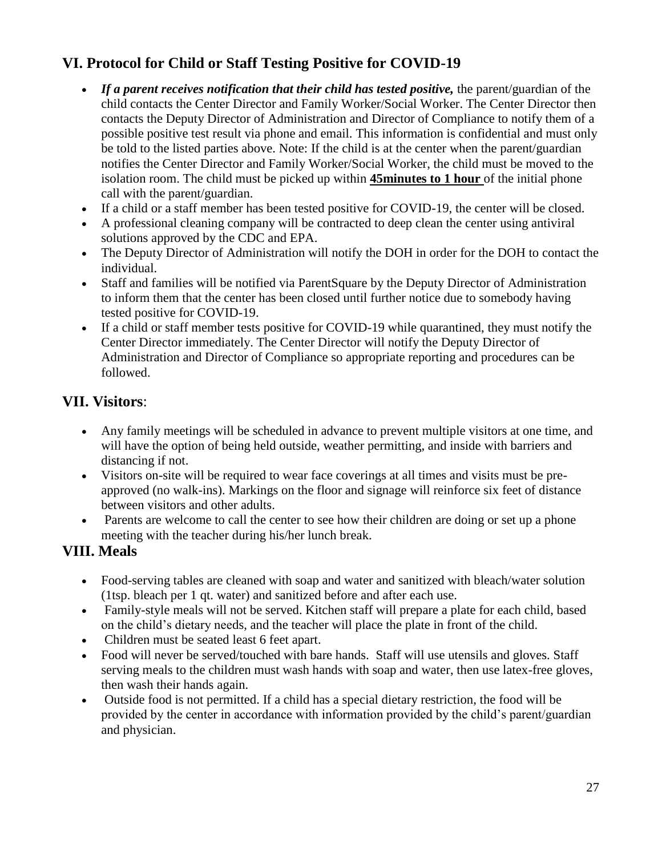## **VI. Protocol for Child or Staff Testing Positive for COVID-19**

- *If a parent receives notification that their child has tested positive, the parent/guardian of the* child contacts the Center Director and Family Worker/Social Worker. The Center Director then contacts the Deputy Director of Administration and Director of Compliance to notify them of a possible positive test result via phone and email. This information is confidential and must only be told to the listed parties above. Note: If the child is at the center when the parent/guardian notifies the Center Director and Family Worker/Social Worker, the child must be moved to the isolation room. The child must be picked up within **45minutes to 1 hour** of the initial phone call with the parent/guardian.
- If a child or a staff member has been tested positive for COVID-19, the center will be closed.
- A professional cleaning company will be contracted to deep clean the center using antiviral solutions approved by the CDC and EPA.
- The Deputy Director of Administration will notify the DOH in order for the DOH to contact the individual.
- Staff and families will be notified via ParentSquare by the Deputy Director of Administration to inform them that the center has been closed until further notice due to somebody having tested positive for COVID-19.
- If a child or staff member tests positive for COVID-19 while quarantined, they must notify the Center Director immediately. The Center Director will notify the Deputy Director of Administration and Director of Compliance so appropriate reporting and procedures can be followed.

## **VII. Visitors**:

- Any family meetings will be scheduled in advance to prevent multiple visitors at one time, and will have the option of being held outside, weather permitting, and inside with barriers and distancing if not.
- Visitors on-site will be required to wear face coverings at all times and visits must be preapproved (no walk-ins). Markings on the floor and signage will reinforce six feet of distance between visitors and other adults.
- Parents are welcome to call the center to see how their children are doing or set up a phone meeting with the teacher during his/her lunch break.

## **VIII. Meals**

- Food-serving tables are cleaned with soap and water and sanitized with bleach/water solution (1tsp. bleach per 1 qt. water) and sanitized before and after each use.
- Family-style meals will not be served. Kitchen staff will prepare a plate for each child, based on the child's dietary needs, and the teacher will place the plate in front of the child.
- Children must be seated least 6 feet apart.
- Food will never be served/touched with bare hands. Staff will use utensils and gloves. Staff serving meals to the children must wash hands with soap and water, then use latex-free gloves, then wash their hands again.
- Outside food is not permitted. If a child has a special dietary restriction, the food will be provided by the center in accordance with information provided by the child's parent/guardian and physician.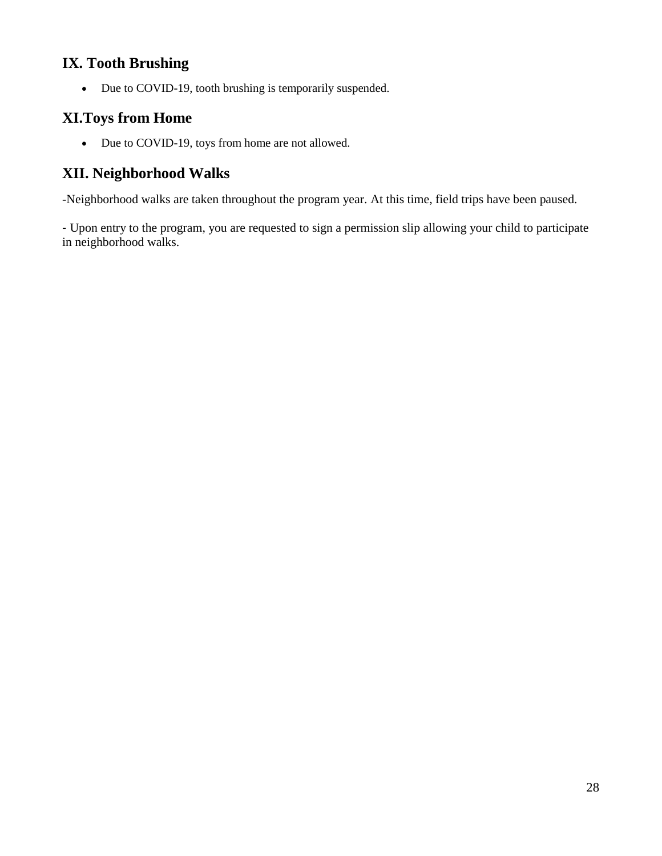## **IX. Tooth Brushing**

• Due to COVID-19, tooth brushing is temporarily suspended.

## **XI.Toys from Home**

• Due to COVID-19, toys from home are not allowed.

## **XII. Neighborhood Walks**

-Neighborhood walks are taken throughout the program year. At this time, field trips have been paused.

- Upon entry to the program, you are requested to sign a permission slip allowing your child to participate in neighborhood walks.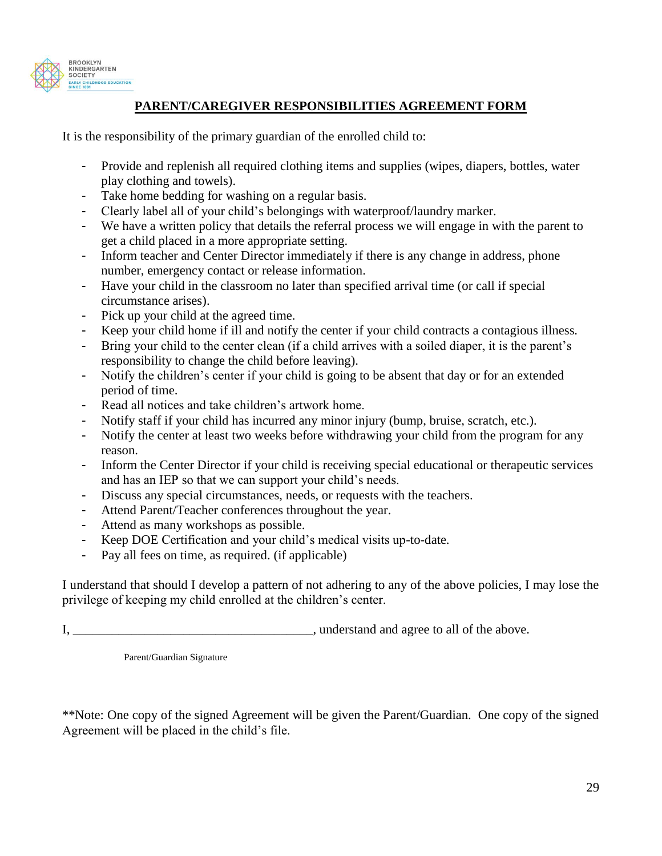

#### **PARENT/CAREGIVER RESPONSIBILITIES AGREEMENT FORM**

It is the responsibility of the primary guardian of the enrolled child to:

- Provide and replenish all required clothing items and supplies (wipes, diapers, bottles, water play clothing and towels).
- Take home bedding for washing on a regular basis.
- Clearly label all of your child's belongings with waterproof/laundry marker.
- We have a written policy that details the referral process we will engage in with the parent to get a child placed in a more appropriate setting.
- Inform teacher and Center Director immediately if there is any change in address, phone number, emergency contact or release information.
- Have your child in the classroom no later than specified arrival time (or call if special circumstance arises).
- Pick up your child at the agreed time.
- Keep your child home if ill and notify the center if your child contracts a contagious illness.
- Bring your child to the center clean (if a child arrives with a soiled diaper, it is the parent's responsibility to change the child before leaving).
- Notify the children's center if your child is going to be absent that day or for an extended period of time.
- Read all notices and take children's artwork home.
- Notify staff if your child has incurred any minor injury (bump, bruise, scratch, etc.).
- Notify the center at least two weeks before withdrawing your child from the program for any reason.
- Inform the Center Director if your child is receiving special educational or therapeutic services and has an IEP so that we can support your child's needs.
- Discuss any special circumstances, needs, or requests with the teachers.
- Attend Parent/Teacher conferences throughout the year.
- Attend as many workshops as possible.
- Keep DOE Certification and your child's medical visits up-to-date.
- Pay all fees on time, as required. (if applicable)

I understand that should I develop a pattern of not adhering to any of the above policies, I may lose the privilege of keeping my child enrolled at the children's center.

I, \_\_\_\_\_\_\_\_\_\_\_\_\_\_\_\_\_\_\_\_\_\_\_\_\_\_\_\_\_\_\_\_\_\_\_\_\_, understand and agree to all of the above.

Parent/Guardian Signature

\*\*Note: One copy of the signed Agreement will be given the Parent/Guardian. One copy of the signed Agreement will be placed in the child's file.